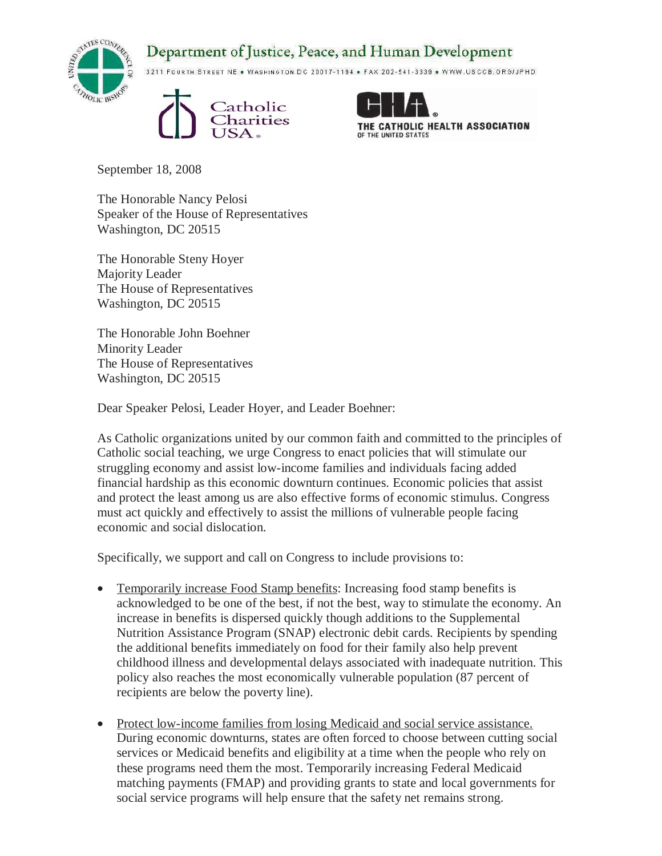## Department of Justice, Peace, and Human Development



3211 FOURTH STREET NE . WASHINGTON DC 20017-1194 . FAX 202-541-3339 . WWW.USCCB.ORG/JPHD





September 18, 2008

The Honorable Nancy Pelosi Speaker of the House of Representatives Washington, DC 20515

The Honorable Steny Hoyer Majority Leader The House of Representatives Washington, DC 20515

The Honorable John Boehner Minority Leader The House of Representatives Washington, DC 20515

Dear Speaker Pelosi, Leader Hoyer, and Leader Boehner:

As Catholic organizations united by our common faith and committed to the principles of Catholic social teaching, we urge Congress to enact policies that will stimulate our struggling economy and assist low-income families and individuals facing added financial hardship as this economic downturn continues. Economic policies that assist and protect the least among us are also effective forms of economic stimulus. Congress must act quickly and effectively to assist the millions of vulnerable people facing economic and social dislocation.

Specifically, we support and call on Congress to include provisions to:

- Temporarily increase Food Stamp benefits: Increasing food stamp benefits is acknowledged to be one of the best, if not the best, way to stimulate the economy. An increase in benefits is dispersed quickly though additions to the Supplemental Nutrition Assistance Program (SNAP) electronic debit cards. Recipients by spending the additional benefits immediately on food for their family also help prevent childhood illness and developmental delays associated with inadequate nutrition. This policy also reaches the most economically vulnerable population (87 percent of recipients are below the poverty line).
- Protect low-income families from losing Medicaid and social service assistance. During economic downturns, states are often forced to choose between cutting social services or Medicaid benefits and eligibility at a time when the people who rely on these programs need them the most. Temporarily increasing Federal Medicaid matching payments (FMAP) and providing grants to state and local governments for social service programs will help ensure that the safety net remains strong.